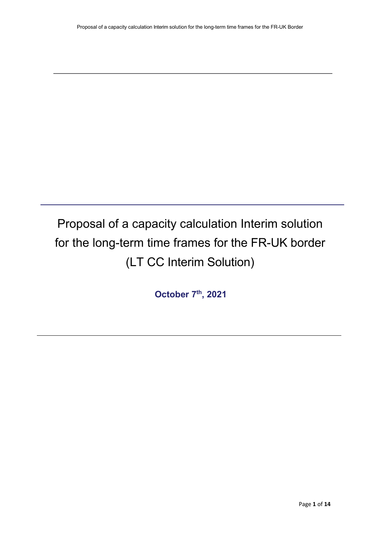# Proposal of a capacity calculation Interim solution for the long-term time frames for the FR-UK border (LT CC Interim Solution)

**October 7th, 2021**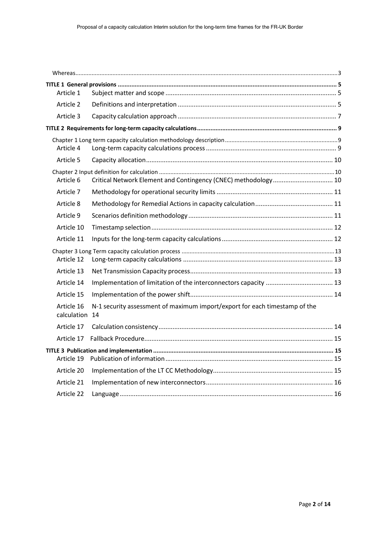| Article 1                 |                                                                                  |  |
|---------------------------|----------------------------------------------------------------------------------|--|
| Article 2                 |                                                                                  |  |
| Article 3                 |                                                                                  |  |
|                           |                                                                                  |  |
| Article 4                 |                                                                                  |  |
| Article 5                 |                                                                                  |  |
| Article 6                 | Critical Network Element and Contingency (CNEC) methodology 10                   |  |
| Article 7                 |                                                                                  |  |
| Article 8                 |                                                                                  |  |
| Article 9                 |                                                                                  |  |
| Article 10                |                                                                                  |  |
| Article 11                |                                                                                  |  |
| Article 12                |                                                                                  |  |
| Article 13                |                                                                                  |  |
| Article 14                |                                                                                  |  |
| Article 15                |                                                                                  |  |
| Article 16<br>calculation | N-1 security assessment of maximum import/export for each timestamp of the<br>14 |  |
| Article 17                |                                                                                  |  |
| Article 17                |                                                                                  |  |
| Article 19                |                                                                                  |  |
| Article 20                |                                                                                  |  |
| Article 21                |                                                                                  |  |
| Article 22                |                                                                                  |  |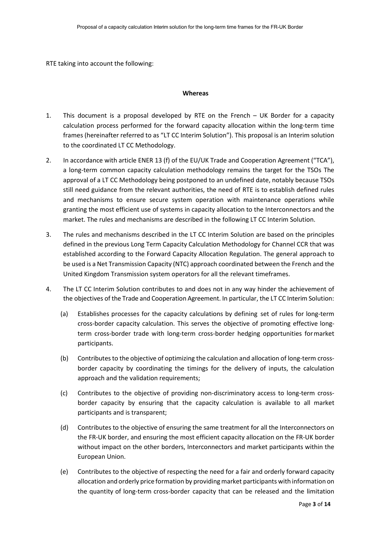RTE taking into account the following:

#### **Whereas**

- <span id="page-2-0"></span>1. This document is a proposal developed by RTE on the French – UK Border for a capacity calculation process performed for the forward capacity allocation within the long-term time frames (hereinafter referred to as "LT CC Interim Solution"). This proposal is an Interim solution to the coordinated LT CC Methodology.
- 2. In accordance with article ENER 13 (f) of the EU/UK Trade and Cooperation Agreement ("TCA"), a long-term common capacity calculation methodology remains the target for the TSOs The approval of a LT CC Methodology being postponed to an undefined date, notably because TSOs still need guidance from the relevant authorities, the need of RTE is to establish defined rules and mechanisms to ensure secure system operation with maintenance operations while granting the most efficient use of systems in capacity allocation to the Interconnectors and the market. The rules and mechanisms are described in the following LT CC Interim Solution.
- 3. The rules and mechanisms described in the LT CC Interim Solution are based on the principles defined in the previous Long Term Capacity Calculation Methodology for Channel CCR that was established according to the Forward Capacity Allocation Regulation. The general approach to be used is a Net Transmission Capacity (NTC) approach coordinated between the French and the United Kingdom Transmission system operators for all the relevant timeframes.
- 4. The LT CC Interim Solution contributes to and does not in any way hinder the achievement of the objectives of the Trade and Cooperation Agreement. In particular, the LT CC Interim Solution:
	- (a) Establishes processes for the capacity calculations by defining set of rules for long-term cross-border capacity calculation. This serves the objective of promoting effective longterm cross-border trade with long-term cross-border hedging opportunities formarket participants.
	- (b) Contributes to the objective of optimizing the calculation and allocation of long-term crossborder capacity by coordinating the timings for the delivery of inputs, the calculation approach and the validation requirements;
	- (c) Contributes to the objective of providing non-discriminatory access to long-term crossborder capacity by ensuring that the capacity calculation is available to all market participants and is transparent;
	- (d) Contributes to the objective of ensuring the same treatment for all the Interconnectors on the FR-UK border, and ensuring the most efficient capacity allocation on the FR-UK border without impact on the other borders, Interconnectors and market participants within the European Union.
	- (e) Contributes to the objective of respecting the need for a fair and orderly forward capacity allocation and orderly price formation by providingmarket participants with information on the quantity of long-term cross-border capacity that can be released and the limitation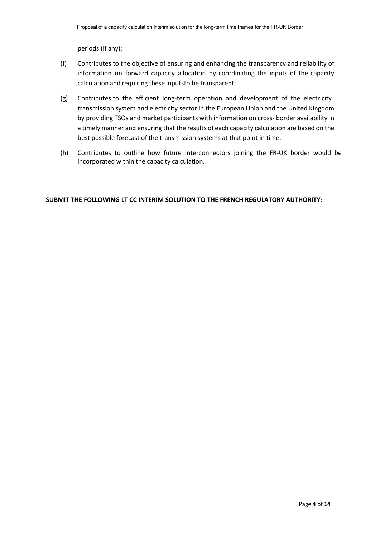periods (if any);

- (f) Contributes to the objective of ensuring and enhancing the transparency and reliability of information on forward capacity allocation by coordinating the inputs of the capacity calculation and requiring these inputsto be transparent;
- (g) Contributes to the efficient long-term operation and development of the electricity transmission system and electricity sector in the European Union and the United Kingdom by providing TSOs and market participants with information on cross- border availability in a timely manner and ensuring that the results of each capacity calculation are based on the best possible forecast of the transmission systems at that point in time.
- (h) Contributes to outline how future Interconnectors joining the FR-UK border would be incorporated within the capacity calculation.

#### **SUBMIT THE FOLLOWING LT CC INTERIM SOLUTION TO THE FRENCH REGULATORY AUTHORITY:**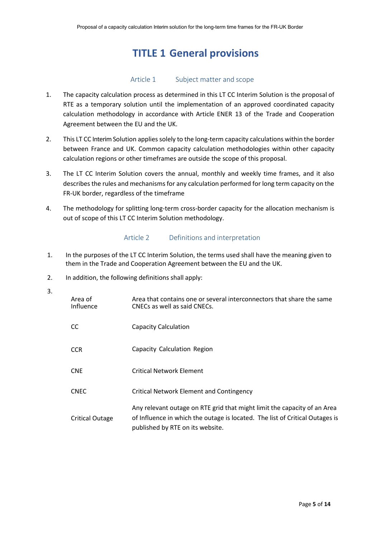# **TITLE 1 General provisions**

#### Article 1 Subject matter and scope

- <span id="page-4-1"></span><span id="page-4-0"></span>1. The capacity calculation process as determined in this LT CC Interim Solution is the proposal of RTE as a temporary solution until the implementation of an approved coordinated capacity calculation methodology in accordance with Article ENER 13 of the Trade and Cooperation Agreement between the EU and the UK.
- 2. This LT CC Interim Solution applies solely to the long-term capacity calculations within the border between France and UK. Common capacity calculation methodologies within other capacity calculation regions or other timeframes are outside the scope of this proposal.
- 3. The LT CC Interim Solution covers the annual, monthly and weekly time frames, and it also describes the rules and mechanisms for any calculation performed for long term capacity on the FR-UK border, regardless of the timeframe
- 4. The methodology for splitting long-term cross-border capacity for the allocation mechanism is out of scope of this LT CC Interim Solution methodology.

#### Article 2 Definitions and interpretation

- <span id="page-4-2"></span>1. In the purposes of the LT CC Interim Solution, the terms used shall have the meaning given to them in the Trade and Cooperation Agreement between the EU and the UK.
- 2. In addition, the following definitions shall apply:
- 3.

| Area of<br>Influence   | Area that contains one or several interconnectors that share the same<br>CNECs as well as said CNECs.                                                                                        |
|------------------------|----------------------------------------------------------------------------------------------------------------------------------------------------------------------------------------------|
| <sub>CC</sub>          | <b>Capacity Calculation</b>                                                                                                                                                                  |
| <b>CCR</b>             | Capacity Calculation Region                                                                                                                                                                  |
| <b>CNE</b>             | <b>Critical Network Element</b>                                                                                                                                                              |
| <b>CNEC</b>            | <b>Critical Network Element and Contingency</b>                                                                                                                                              |
| <b>Critical Outage</b> | Any relevant outage on RTE grid that might limit the capacity of an Area<br>of Influence in which the outage is located. The list of Critical Outages is<br>published by RTE on its website. |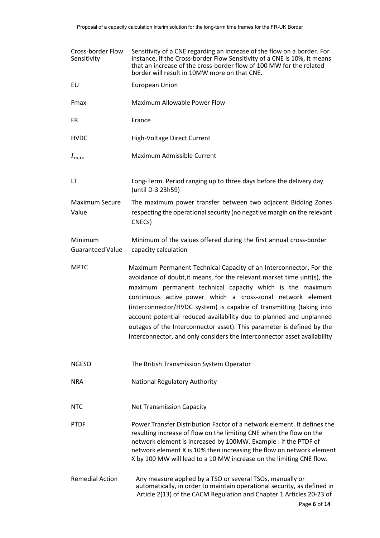| Cross-border Flow<br>Sensitivity   | Sensitivity of a CNE regarding an increase of the flow on a border. For<br>instance, if the Cross-border Flow Sensitivity of a CNE is 10%, it means<br>that an increase of the cross-border flow of 100 MW for the related<br>border will result in 10MW more on that CNE.                                                                                                                                                                                                                                                                                                     |
|------------------------------------|--------------------------------------------------------------------------------------------------------------------------------------------------------------------------------------------------------------------------------------------------------------------------------------------------------------------------------------------------------------------------------------------------------------------------------------------------------------------------------------------------------------------------------------------------------------------------------|
| EU                                 | <b>European Union</b>                                                                                                                                                                                                                                                                                                                                                                                                                                                                                                                                                          |
| Fmax                               | Maximum Allowable Power Flow                                                                                                                                                                                                                                                                                                                                                                                                                                                                                                                                                   |
| <b>FR</b>                          | France                                                                                                                                                                                                                                                                                                                                                                                                                                                                                                                                                                         |
| <b>HVDC</b>                        | High-Voltage Direct Current                                                                                                                                                                                                                                                                                                                                                                                                                                                                                                                                                    |
| $I_{\text{max}}$                   | Maximum Admissible Current                                                                                                                                                                                                                                                                                                                                                                                                                                                                                                                                                     |
| LT                                 | Long-Term. Period ranging up to three days before the delivery day<br>(until D-3 23h59)                                                                                                                                                                                                                                                                                                                                                                                                                                                                                        |
| <b>Maximum Secure</b><br>Value     | The maximum power transfer between two adjacent Bidding Zones<br>respecting the operational security (no negative margin on the relevant<br>CNEC <sub>s</sub> )                                                                                                                                                                                                                                                                                                                                                                                                                |
| Minimum<br><b>Guaranteed Value</b> | Minimum of the values offered during the first annual cross-border<br>capacity calculation                                                                                                                                                                                                                                                                                                                                                                                                                                                                                     |
| <b>MPTC</b>                        | Maximum Permanent Technical Capacity of an Interconnector. For the<br>avoidance of doubt, it means, for the relevant market time unit(s), the<br>maximum permanent technical capacity which is the maximum<br>continuous active power which a cross-zonal network element<br>(interconnector/HVDC system) is capable of transmitting (taking into<br>account potential reduced availability due to planned and unplanned<br>outages of the Interconnector asset). This parameter is defined by the<br>Interconnector, and only considers the Interconnector asset availability |
| <b>NGESO</b>                       | The British Transmission System Operator                                                                                                                                                                                                                                                                                                                                                                                                                                                                                                                                       |
| <b>NRA</b>                         | National Regulatory Authority                                                                                                                                                                                                                                                                                                                                                                                                                                                                                                                                                  |
| <b>NTC</b>                         | <b>Net Transmission Capacity</b>                                                                                                                                                                                                                                                                                                                                                                                                                                                                                                                                               |
| <b>PTDF</b>                        | Power Transfer Distribution Factor of a network element. It defines the<br>resulting increase of flow on the limiting CNE when the flow on the<br>network element is increased by 100MW. Example : if the PTDF of<br>network element X is 10% then increasing the flow on network element<br>X by 100 MW will lead to a 10 MW increase on the limiting CNE flow.                                                                                                                                                                                                               |
| <b>Remedial Action</b>             | Any measure applied by a TSO or several TSOs, manually or<br>automatically, in order to maintain operational security, as defined in<br>Article 2(13) of the CACM Regulation and Chapter 1 Articles 20-23 of<br>Page 6 of 14                                                                                                                                                                                                                                                                                                                                                   |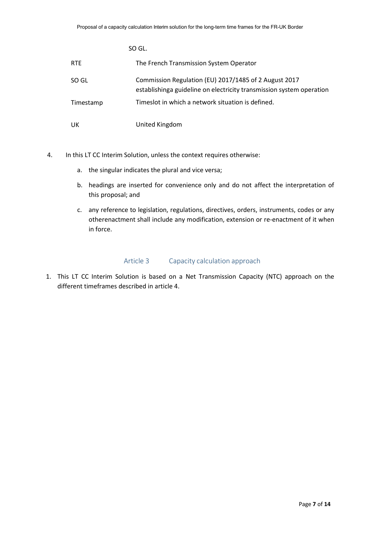|            | SO GL.                                                                                                                        |
|------------|-------------------------------------------------------------------------------------------------------------------------------|
| <b>RTE</b> | The French Transmission System Operator                                                                                       |
| SO GL      | Commission Regulation (EU) 2017/1485 of 2 August 2017<br>establishinga guideline on electricity transmission system operation |
| Timestamp  | Timeslot in which a network situation is defined.                                                                             |
| UK         | United Kingdom                                                                                                                |

- 4. In this LT CC Interim Solution, unless the context requires otherwise:
	- a. the singular indicates the plural and vice versa;
	- b. headings are inserted for convenience only and do not affect the interpretation of this proposal; and
	- c. any reference to legislation, regulations, directives, orders, instruments, codes or any otherenactment shall include any modification, extension or re-enactment of it when in force.

#### Article 3 Capacity calculation approach

<span id="page-6-0"></span>1. This LT CC Interim Solution is based on a Net Transmission Capacity (NTC) approach on the different timeframes described in article 4.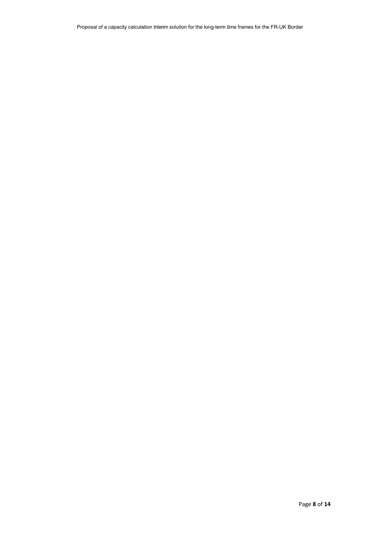Proposal of a capacity calculation Interim solution for the long-term time frames for the FR-UK Border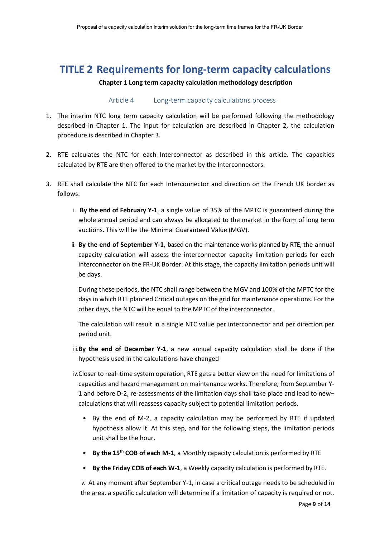# <span id="page-8-1"></span><span id="page-8-0"></span>**TITLE 2 Requirements for long-term capacity calculations**

#### **Chapter 1 Long term capacity calculation methodology description**

#### Article 4 Long-term capacity calculations process

- <span id="page-8-2"></span>1. The interim NTC long term capacity calculation will be performed following the methodology described in Chapter 1. The input for calculation are described in Chapter 2, the calculation procedure is described in Chapter 3.
- 2. RTE calculates the NTC for each Interconnector as described in this article. The capacities calculated by RTE are then offered to the market by the Interconnectors.
- 3. RTE shall calculate the NTC for each Interconnector and direction on the French UK border as follows:
	- i. **By the end of February Y-1**, a single value of 35% of the MPTC is guaranteed during the whole annual period and can always be allocated to the market in the form of long term auctions. This will be the Minimal Guaranteed Value (MGV).
	- ii. **By the end of September Y-1**, based on the maintenance works planned by RTE, the annual capacity calculation will assess the interconnector capacity limitation periods for each interconnector on the FR-UK Border. At this stage, the capacity limitation periods unit will be days.

During these periods, the NTC shall range between the MGV and 100% of the MPTC for the days in which RTE planned Critical outages on the grid for maintenance operations. For the other days, the NTC will be equal to the MPTC of the interconnector.

The calculation will result in a single NTC value per interconnector and per direction per period unit.

- iii.**By the end of December Y-1**, a new annual capacity calculation shall be done if the hypothesis used in the calculations have changed
- iv.Closer to real–time system operation, RTE gets a better view on the need for limitations of capacities and hazard management on maintenance works. Therefore, from September Y-1 and before D-2, re-assessments of the limitation days shall take place and lead to new– calculations that will reassess capacity subject to potential limitation periods.
	- By the end of M-2, a capacity calculation may be performed by RTE if updated hypothesis allow it. At this step, and for the following steps, the limitation periods unit shall be the hour.
	- **By the 15th COB of each M-1**, a Monthly capacity calculation is performed by RTE
	- **By the Friday COB of each W-1**, a Weekly capacity calculation is performed by RTE.

v. At any moment after September Y-1, in case a critical outage needs to be scheduled in the area, a specific calculation will determine if a limitation of capacity is required or not.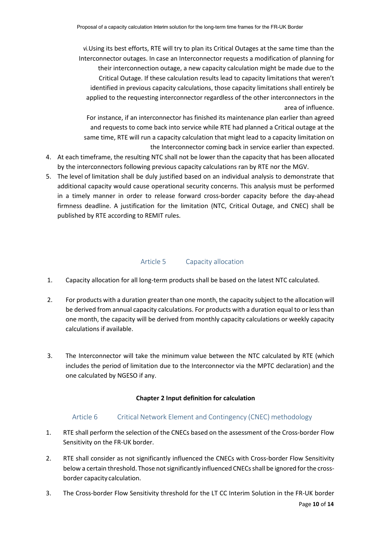vi.Using its best efforts, RTE will try to plan its Critical Outages at the same time than the Interconnector outages. In case an Interconnector requests a modification of planning for their interconnection outage, a new capacity calculation might be made due to the Critical Outage. If these calculation results lead to capacity limitations that weren't identified in previous capacity calculations, those capacity limitations shall entirely be applied to the requesting interconnector regardless of the other interconnectors in the area of influence.

For instance, if an interconnector has finished its maintenance plan earlier than agreed and requests to come back into service while RTE had planned a Critical outage at the same time, RTE will run a capacity calculation that might lead to a capacity limitation on the Interconnector coming back in service earlier than expected.

- 4. At each timeframe, the resulting NTC shall not be lower than the capacity that has been allocated by the interconnectors following previous capacity calculations ran by RTE nor the MGV.
- 5. The level of limitation shall be duly justified based on an individual analysis to demonstrate that additional capacity would cause operational security concerns. This analysis must be performed in a timely manner in order to release forward cross-border capacity before the day-ahead firmness deadline. A justification for the limitation (NTC, Critical Outage, and CNEC) shall be published by RTE according to REMIT rules.

#### Article 5 Capacity allocation

- <span id="page-9-0"></span>1. Capacity allocation for all long-term products shall be based on the latest NTC calculated.
- 2. For products with a duration greater than one month, the capacity subject to the allocation will be derived from annual capacity calculations. For products with a duration equal to or less than one month, the capacity will be derived from monthly capacity calculations or weekly capacity calculations if available.
- 3. The Interconnector will take the minimum value between the NTC calculated by RTE (which includes the period of limitation due to the Interconnector via the MPTC declaration) and the one calculated by NGESO if any.

#### **Chapter 2 Input definition for calculation**

#### <span id="page-9-1"></span>Article 6 Critical Network Element and Contingency (CNEC) methodology

- <span id="page-9-2"></span>1. RTE shall perform the selection of the CNECs based on the assessment of the Cross-border Flow Sensitivity on the FR-UK border.
- 2. RTE shall consider as not significantly influenced the CNECs with Cross-border Flow Sensitivity below a certain threshold. Those not significantly influenced CNECs shall be ignored for the crossborder capacity calculation.
- 3. The Cross-border Flow Sensitivity threshold for the LT CC Interim Solution in the FR-UK border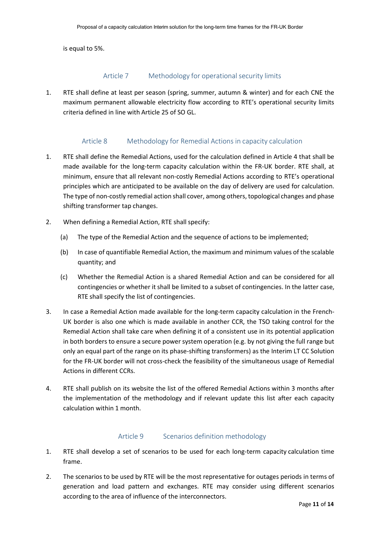is equal to 5%.

### Article 7 Methodology for operational security limits

<span id="page-10-0"></span>1. RTE shall define at least per season (spring, summer, autumn & winter) and for each CNE the maximum permanent allowable electricity flow according to RTE's operational security limits criteria defined in line with Article 25 of SO GL.

# Article 8 Methodology for Remedial Actions in capacity calculation

- <span id="page-10-1"></span>1. RTE shall define the Remedial Actions, used for the calculation defined in Article 4 that shall be made available for the long-term capacity calculation within the FR-UK border. RTE shall, at minimum, ensure that all relevant non-costly Remedial Actions according to RTE's operational principles which are anticipated to be available on the day of delivery are used for calculation. The type of non-costly remedial action shall cover, among others, topological changes and phase shifting transformer tap changes.
- 2. When defining a Remedial Action, RTE shall specify:
	- (a) The type of the Remedial Action and the sequence of actions to be implemented;
	- (b) In case of quantifiable Remedial Action, the maximum and minimum values of the scalable quantity; and
	- (c) Whether the Remedial Action is a shared Remedial Action and can be considered for all contingencies or whether it shall be limited to a subset of contingencies. In the latter case, RTE shall specify the list of contingencies.
- 3. In case a Remedial Action made available for the long-term capacity calculation in the French-UK border is also one which is made available in another CCR, the TSO taking control for the Remedial Action shall take care when defining it of a consistent use in its potential application in both borders to ensure a secure power system operation (e.g. by not giving the full range but only an equal part of the range on its phase-shifting transformers) as the Interim LT CC Solution for the FR-UK border will not cross-check the feasibility of the simultaneous usage of Remedial Actions in different CCRs.
- 4. RTE shall publish on its website the list of the offered Remedial Actions within 3 months after the implementation of the methodology and if relevant update this list after each capacity calculation within 1 month.

# Article 9 Scenarios definition methodology

- <span id="page-10-2"></span>1. RTE shall develop a set of scenarios to be used for each long-term capacity calculation time frame.
- 2. The scenarios to be used by RTE will be the most representative for outages periods in terms of generation and load pattern and exchanges. RTE may consider using different scenarios according to the area of influence of the interconnectors.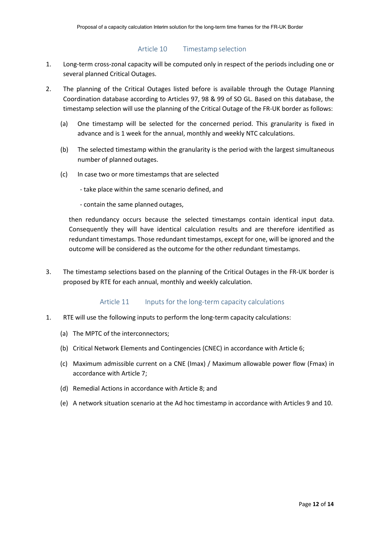#### Article 10 Timestamp selection

- <span id="page-11-0"></span>1. Long-term cross-zonal capacity will be computed only in respect of the periods including one or several planned Critical Outages.
- 2. The planning of the Critical Outages listed before is available through the Outage Planning Coordination database according to Articles 97, 98 & 99 of SO GL. Based on this database, the timestamp selection will use the planning of the Critical Outage of the FR-UK border as follows:
	- (a) One timestamp will be selected for the concerned period. This granularity is fixed in advance and is 1 week for the annual, monthly and weekly NTC calculations.
	- (b) The selected timestamp within the granularity is the period with the largest simultaneous number of planned outages.
	- (c) In case two or more timestamps that are selected
		- take place within the same scenario defined, and
		- contain the same planned outages,

then redundancy occurs because the selected timestamps contain identical input data. Consequently they will have identical calculation results and are therefore identified as redundant timestamps. Those redundant timestamps, except for one, will be ignored and the outcome will be considered as the outcome for the other redundant timestamps.

3. The timestamp selections based on the planning of the Critical Outages in the FR-UK border is proposed by RTE for each annual, monthly and weekly calculation.

#### Article 11 Inputs for the long-term capacity calculations

- <span id="page-11-1"></span>1. RTE will use the following inputs to perform the long-term capacity calculations:
	- (a) The MPTC of the interconnectors;
	- (b) Critical Network Elements and Contingencies (CNEC) in accordance with Article 6;
	- (c) Maximum admissible current on a CNE (Imax) / Maximum allowable power flow (Fmax) in accordance with Article 7;
	- (d) Remedial Actions in accordance with Article 8; and
	- (e) A network situation scenario at the Ad hoc timestamp in accordance with Articles 9 and 10.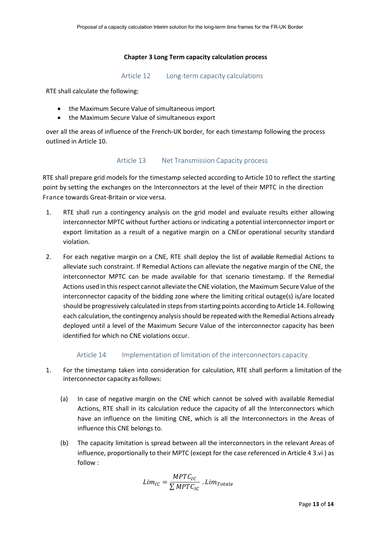#### **Chapter 3 Long Term capacity calculation process**

#### Article 12 Long-term capacity calculations

<span id="page-12-1"></span><span id="page-12-0"></span>RTE shall calculate the following:

- the Maximum Secure Value of simultaneous import
- the Maximum Secure Value of simultaneous export

over all the areas of influence of the French-UK border, for each timestamp following the process outlined in Article 10.

#### Article 13 Net Transmission Capacity process

<span id="page-12-2"></span>RTE shall prepare grid models for the timestamp selected according to Article 10 to reflect the starting point by setting the exchanges on the Interconnectors at the level of their MPTC in the direction France towards Great-Britain or vice versa.

- 1. RTE shall run a contingency analysis on the grid model and evaluate results either allowing interconnector MPTC without further actions or indicating a potential interconnector import or export limitation as a result of a negative margin on a CNEor operational security standard violation.
- 2. For each negative margin on a CNE, RTE shall deploy the list of available Remedial Actions to alleviate such constraint. If Remedial Actions can alleviate the negative margin of the CNE, the interconnector MPTC can be made available for that scenario timestamp. If the Remedial Actions used in thisrespect cannot alleviate the CNE violation, the Maximum Secure Value of the interconnector capacity of the bidding zone where the limiting critical outage(s) is/are located should be progressively calculated in steps from starting points according to Article 14. Following each calculation, the contingency analysis should be repeated with the Remedial Actions already deployed until a level of the Maximum Secure Value of the interconnector capacity has been identified for which no CNE violations occur.

#### Article 14 Implementation of limitation of the interconnectors capacity

- <span id="page-12-3"></span>1. For the timestamp taken into consideration for calculation, RTE shall perform a limitation of the interconnector capacity as follows:
	- (a) In case of negative margin on the CNE which cannot be solved with available Remedial Actions, RTE shall in its calculation reduce the capacity of all the Interconnectors which have an influence on the limiting CNE, which is all the Interconnectors in the Areas of influence this CNE belongs to.
	- (b) The capacity limitation is spread between all the interconnectors in the relevant Areas of influence, proportionally to their MPTC (except for the case referenced in Article 4 3.vi ) as follow :

$$
Lim_{IC}=\frac{MPTC_{IC}}{\sum MPTC_{IC}}\ . Lim_{Totale}
$$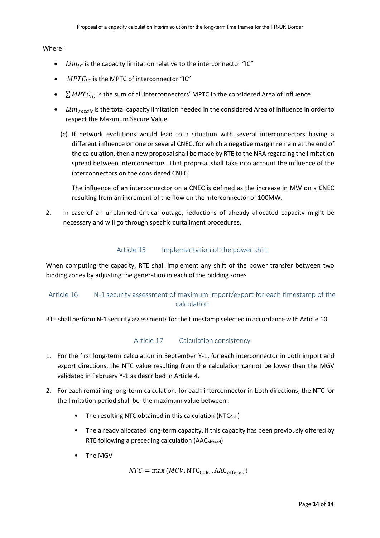Where:

- Lim<sub>IC</sub> is the capacity limitation relative to the interconnector "IC"
- $MPTC_{IC}$  is the MPTC of interconnector "IC"
- $\sum MPTC_{IC}$  is the sum of all interconnectors' MPTC in the considered Area of Influence
- $\bullet$  Lim<sub>Totale</sub> is the total capacity limitation needed in the considered Area of Influence in order to respect the Maximum Secure Value.
	- (c) If network evolutions would lead to a situation with several interconnectors having a different influence on one or several CNEC, for which a negative margin remain at the end of the calculation, then a new proposal shall be made by RTE to the NRA regarding the limitation spread between interconnectors. That proposal shall take into account the influence of the interconnectors on the considered CNEC.

The influence of an interconnector on a CNEC is defined as the increase in MW on a CNEC resulting from an increment of the flow on the interconnector of 100MW.

2. In case of an unplanned Critical outage, reductions of already allocated capacity might be necessary and will go through specific curtailment procedures.

# Article 15 Implementation of the power shift

<span id="page-13-0"></span>When computing the capacity, RTE shall implement any shift of the power transfer between two bidding zones by adjusting the generation in each of the bidding zones

# <span id="page-13-1"></span>Article 16 N-1 security assessment of maximum import/export for each timestamp of the calculation

RTE shall perform N-1 security assessments for the timestamp selected in accordance with Article 10.

#### Article 17 Calculation consistency

- <span id="page-13-2"></span>1. For the first long-term calculation in September Y-1, for each interconnector in both import and export directions, the NTC value resulting from the calculation cannot be lower than the MGV validated in February Y-1 as described in Article 4.
- 2. For each remaining long-term calculation, for each interconnector in both directions, the NTC for the limitation period shall be the maximum value between :
	- The resulting NTC obtained in this calculation (NTC $_{\text{Calc}}$ )
	- The already allocated long-term capacity, if this capacity has been previously offered by RTE following a preceding calculation (AAC<sub>offered</sub>)
	- The MGV

 $NTC = \max (MGV, NTC_{\text{Calc}}$ ,  $\text{AAC}_{\text{offered}})$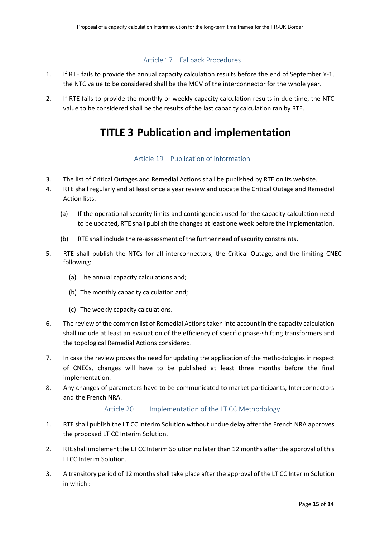#### Article 17 Fallback Procedures

- <span id="page-14-0"></span>1. If RTE fails to provide the annual capacity calculation results before the end of September Y-1, the NTC value to be considered shall be the MGV of the interconnector for the whole year.
- <span id="page-14-1"></span>2. If RTE fails to provide the monthly or weekly capacity calculation results in due time, the NTC value to be considered shall be the results of the last capacity calculation ran by RTE.

# **TITLE 3 Publication and implementation**

# Article 19 Publication of information

- <span id="page-14-2"></span>3. The list of Critical Outages and Remedial Actions shall be published by RTE on its website.
- 4. RTE shall regularly and at least once a year review and update the Critical Outage and Remedial Action lists.
	- (a) If the operational security limits and contingencies used for the capacity calculation need to be updated, RTE shall publish the changes at least one week before the implementation.
	- (b) RTE shall include the re-assessment of the further need of security constraints.
- 5. RTE shall publish the NTCs for all interconnectors, the Critical Outage, and the limiting CNEC following:
	- (a) The annual capacity calculations and;
	- (b) The monthly capacity calculation and;
	- (c) The weekly capacity calculations.
- 6. The review of the common list of Remedial Actionstaken into account in the capacity calculation shall include at least an evaluation of the efficiency of specific phase-shifting transformers and the topological Remedial Actions considered.
- 7. In case the review proves the need for updating the application of the methodologies in respect of CNECs, changes will have to be published at least three months before the final implementation.
- 8. Any changes of parameters have to be communicated to market participants, Interconnectors and the French NRA.

# Article 20 Implementation of the LT CC Methodology

- <span id="page-14-3"></span>1. RTE shall publish the LT CC Interim Solution without undue delay after the French NRA approves the proposed LT CC Interim Solution.
- 2. RTE shall implement the LT CC Interim Solution no later than 12 months after the approval of this LTCC Interim Solution.
- 3. A transitory period of 12 months shall take place after the approval of the LT CC Interim Solution in which :